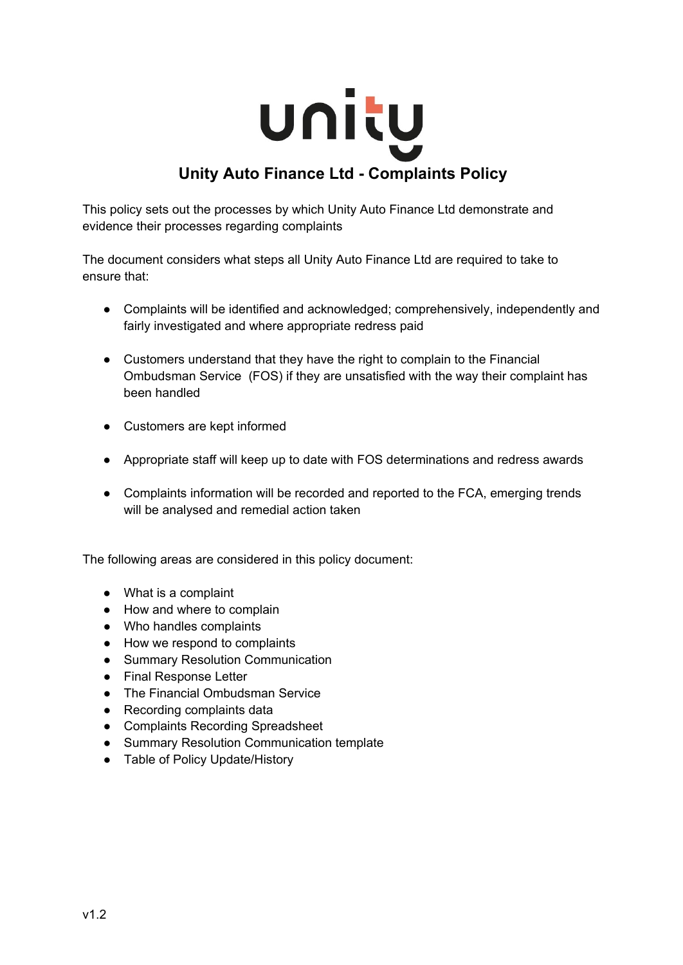

This policy sets out the processes by which Unity Auto Finance Ltd demonstrate and evidence their processes regarding complaints

The document considers what steps all Unity Auto Finance Ltd are required to take to ensure that:

- Complaints will be identified and acknowledged; comprehensively, independently and fairly investigated and where appropriate redress paid
- Customers understand that they have the right to complain to the Financial Ombudsman Service (FOS) if they are unsatisfied with the way their complaint has been handled
- Customers are kept informed
- Appropriate staff will keep up to date with FOS determinations and redress awards
- Complaints information will be recorded and reported to the FCA, emerging trends will be analysed and remedial action taken

The following areas are considered in this policy document:

- What is a complaint
- How and where to complain
- Who handles complaints
- How we respond to complaints
- Summary Resolution Communication
- Final Response Letter
- The Financial Ombudsman Service
- Recording complaints data
- Complaints Recording Spreadsheet
- Summary Resolution Communication template
- Table of Policy Update/History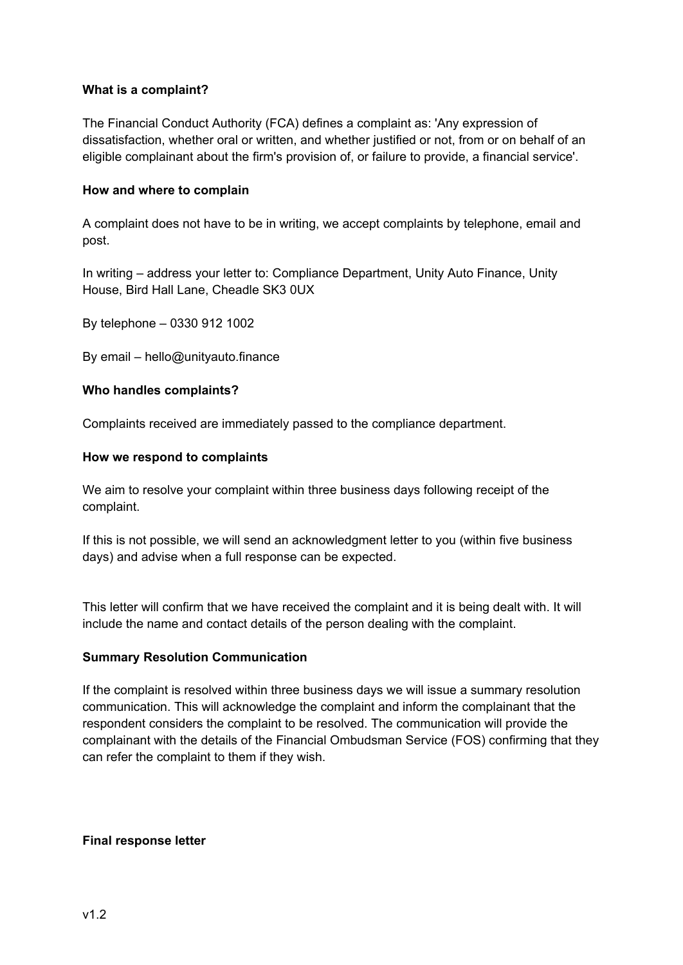# **What is a complaint?**

The Financial Conduct Authority (FCA) defines a complaint as: 'Any expression of dissatisfaction, whether oral or written, and whether justified or not, from or on behalf of an eligible complainant about the firm's provision of, or failure to provide, a financial service'.

## **How and where to complain**

A complaint does not have to be in writing, we accept complaints by telephone, email and post.

In writing – address your letter to: Compliance Department, Unity Auto Finance, Unity House, Bird Hall Lane, Cheadle SK3 0UX

By telephone – 0330 912 1002

By email – hello@unityauto.finance

#### **Who handles complaints?**

Complaints received are immediately passed to the compliance department.

#### **How we respond to complaints**

We aim to resolve your complaint within three business days following receipt of the complaint.

If this is not possible, we will send an acknowledgment letter to you (within five business days) and advise when a full response can be expected.

This letter will confirm that we have received the complaint and it is being dealt with. It will include the name and contact details of the person dealing with the complaint.

# **Summary Resolution Communication**

If the complaint is resolved within three business days we will issue a summary resolution communication. This will acknowledge the complaint and inform the complainant that the respondent considers the complaint to be resolved. The communication will provide the complainant with the details of the Financial Ombudsman Service (FOS) confirming that they can refer the complaint to them if they wish.

#### **Final response letter**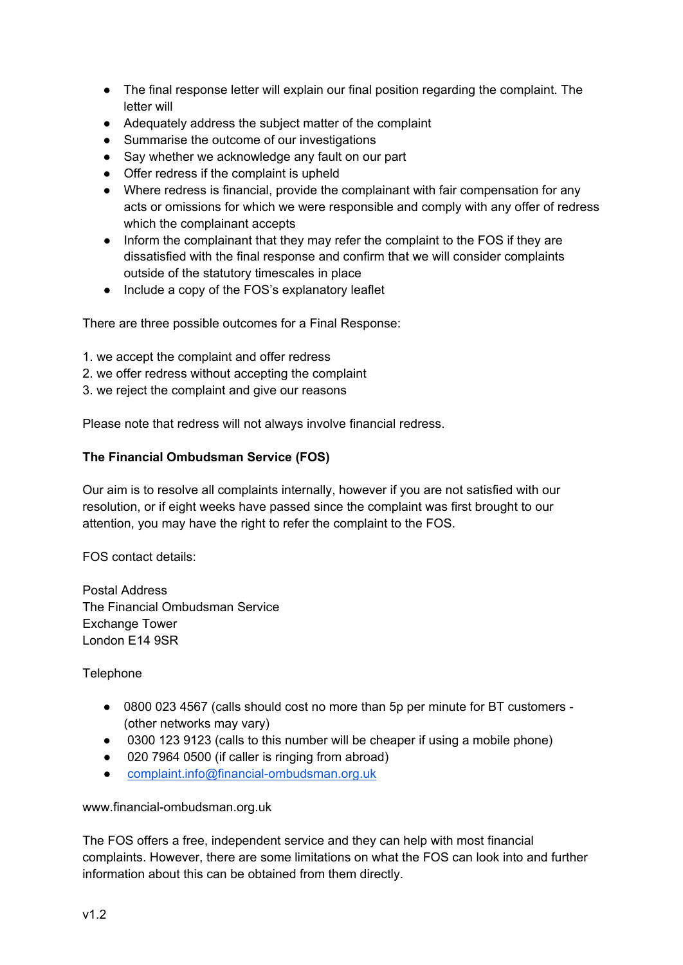- The final response letter will explain our final position regarding the complaint. The letter will
- Adequately address the subject matter of the complaint
- Summarise the outcome of our investigations
- Say whether we acknowledge any fault on our part
- Offer redress if the complaint is upheld
- Where redress is financial, provide the complainant with fair compensation for any acts or omissions for which we were responsible and comply with any offer of redress which the complainant accepts
- Inform the complainant that they may refer the complaint to the FOS if they are dissatisfied with the final response and confirm that we will consider complaints outside of the statutory timescales in place
- Include a copy of the FOS's explanatory leaflet

There are three possible outcomes for a Final Response:

- 1. we accept the complaint and offer redress
- 2. we offer redress without accepting the complaint
- 3. we reject the complaint and give our reasons

Please note that redress will not always involve financial redress.

# **The Financial Ombudsman Service (FOS)**

Our aim is to resolve all complaints internally, however if you are not satisfied with our resolution, or if eight weeks have passed since the complaint was first brought to our attention, you may have the right to refer the complaint to the FOS.

FOS contact details:

Postal Address The Financial Ombudsman Service Exchange Tower London E14 9SR

Telephone

- 0800 023 4567 (calls should cost no more than 5p per minute for BT customers -(other networks may vary)
- 0300 123 9123 (calls to this number will be cheaper if using a mobile phone)
- 020 7964 0500 (if caller is ringing from abroad)
- [complaint.info@financial-ombudsman.org.uk](mailto:complaint.info@financial-ombudsman.org.uk)

www.financial-ombudsman.org.uk

The FOS offers a free, independent service and they can help with most financial complaints. However, there are some limitations on what the FOS can look into and further information about this can be obtained from them directly.